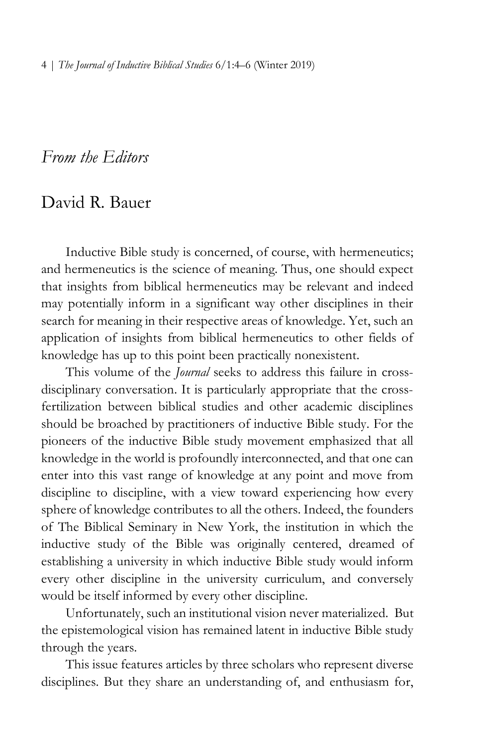## *From the Editors*

## David R. Bauer

Inductive Bible study is concerned, of course, with hermeneutics; and hermeneutics is the science of meaning. Thus, one should expect that insights from biblical hermeneutics may be relevant and indeed may potentially inform in a significant way other disciplines in their search for meaning in their respective areas of knowledge. Yet, such an application of insights from biblical hermeneutics to other fields of knowledge has up to this point been practically nonexistent.

This volume of the *Journal* seeks to address this failure in crossdisciplinary conversation. It is particularly appropriate that the crossfertilization between biblical studies and other academic disciplines should be broached by practitioners of inductive Bible study. For the pioneers of the inductive Bible study movement emphasized that all knowledge in the world is profoundly interconnected, and that one can enter into this vast range of knowledge at any point and move from discipline to discipline, with a view toward experiencing how every sphere of knowledge contributes to all the others. Indeed, the founders of The Biblical Seminary in New York, the institution in which the inductive study of the Bible was originally centered, dreamed of establishing a university in which inductive Bible study would inform every other discipline in the university curriculum, and conversely would be itself informed by every other discipline.

Unfortunately, such an institutional vision never materialized. But the epistemological vision has remained latent in inductive Bible study through the years.

This issue features articles by three scholars who represent diverse disciplines. But they share an understanding of, and enthusiasm for,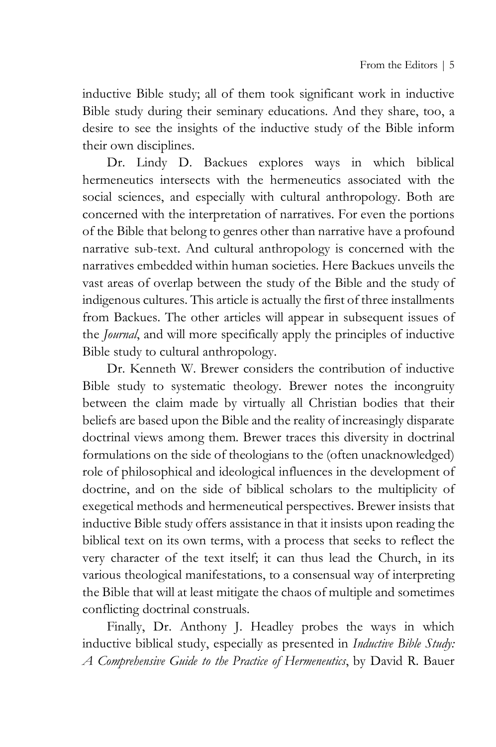inductive Bible study; all of them took significant work in inductive Bible study during their seminary educations. And they share, too, a desire to see the insights of the inductive study of the Bible inform their own disciplines.

Dr. Lindy D. Backues explores ways in which biblical hermeneutics intersects with the hermeneutics associated with the social sciences, and especially with cultural anthropology. Both are concerned with the interpretation of narratives. For even the portions of the Bible that belong to genres other than narrative have a profound narrative sub-text. And cultural anthropology is concerned with the narratives embedded within human societies. Here Backues unveils the vast areas of overlap between the study of the Bible and the study of indigenous cultures. This article is actually the first of three installments from Backues. The other articles will appear in subsequent issues of the *Journal*, and will more specifically apply the principles of inductive Bible study to cultural anthropology.

Dr. Kenneth W. Brewer considers the contribution of inductive Bible study to systematic theology. Brewer notes the incongruity between the claim made by virtually all Christian bodies that their beliefs are based upon the Bible and the reality of increasingly disparate doctrinal views among them. Brewer traces this diversity in doctrinal formulations on the side of theologians to the (often unacknowledged) role of philosophical and ideological influences in the development of doctrine, and on the side of biblical scholars to the multiplicity of exegetical methods and hermeneutical perspectives. Brewer insists that inductive Bible study offers assistance in that it insists upon reading the biblical text on its own terms, with a process that seeks to reflect the very character of the text itself; it can thus lead the Church, in its various theological manifestations, to a consensual way of interpreting the Bible that will at least mitigate the chaos of multiple and sometimes conflicting doctrinal construals.

Finally, Dr. Anthony J. Headley probes the ways in which inductive biblical study, especially as presented in *Inductive Bible Study: A Comprehensive Guide to the Practice of Hermeneutics*, by David R. Bauer